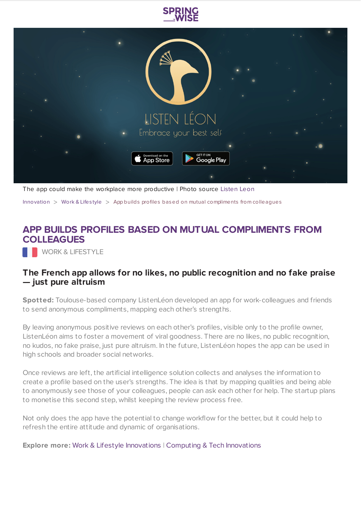



The app could make the workplace more productive | Photo source [Listen](https://listenleon.com/hello) Leon

[Innovation](https://www.springwise.com/search?type=innovation)  $>$  [Work](https://www.springwise.com/search?type=innovation§or=work-lifestyle) & Lifestyle  $>$  App builds profiles based on mutual compliments from colleagues

## **APP BUILDS PROFILES BASED ON MUTUAL COMPLIMENTS FROM COLLEAGUES**

WORK & LIFESTYLE

## **The French app allows for no likes, no public recognition and no fake praise — just pure altruism**

**Spotted:** Toulouse-based company ListenLéon developed an app for work-colleagues and friends to send anonymous compliments, mapping each other's strengths.

By leaving anonymous positive reviews on each other's profiles, visible only to the profile owner, ListenLéon aims to foster a movement of viral goodness. There are no likes, no public recognition, no kudos, no fake praise, just pure altruism. In the future, ListenLéon hopes the app can be used in high schools and broader social networks.

Once reviews are left, the artificial intelligence solution collects and analyses the information to create a profile based on the user's strengths. The idea is that by mapping qualities and being able to anonymously see those of your colleagues, people can ask each other for help. The startup plans to monetise this second step, whilst keeping the review process free.

Not only does the app have the potential to change workflow for the better, but it could help to refresh the entire attitude and dynamic of organisations.

**Explore more:** Work & Lifestyle [Innovations](https://www.springwise.com/work-and-lifestyle-innovations/) | Computing & Tech [Innovations](https://www.springwise.com/computing-and-tech-innovations/)